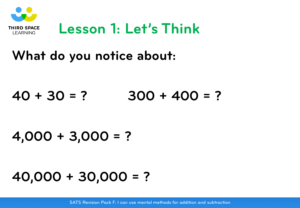

### **Lesson 1: Let's Think**

### **What do you notice about:**

### **40 + 30 = ? 300 + 400 = ?**

### **4,000 + 3,000 = ?**

## **40,000 + 30,000 = ?**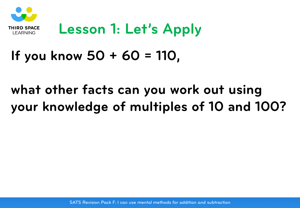

### **Lesson 1: Let's Apply**

### **If you know 50 + 60 = 110,**

### **what other facts can you work out using your knowledge of multiples of 10 and 100?**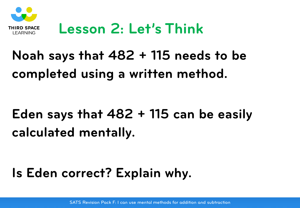

### **Lesson 2: Let's Think**

## **Noah says that 482 + 115 needs to be completed using a written method.**

## **Eden says that 482 + 115 can be easily calculated mentally.**

### **Is Eden correct? Explain why.**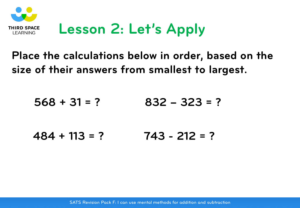

## **Lesson 2: Let's Apply**

### **Place the calculations below in order, based on the size of their answers from smallest to largest.**

$$
568 + 31 = ?
$$
 832 - 323 = ?

$$
484 + 113 = ?
$$
 743 - 212 = ?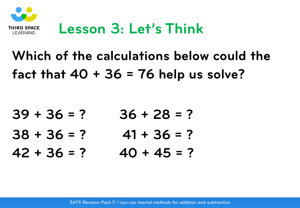

## **Lesson 3: Let's Think**

## **Which of the calculations below could the fact that 40 + 36 = 76 help us solve?**

| $39 + 36 = ?$ | $36 + 28 = ?$ |
|---------------|---------------|
| $38 + 36 = ?$ | $41 + 36 = ?$ |
| $42 + 36 = ?$ | $40 + 45 = ?$ |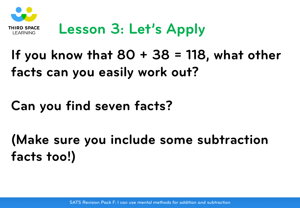

## **Lesson 3: Let's Apply**

## **If you know that 80 + 38 = 118, what other facts can you easily work out?**

### **Can you find seven facts?**

**(Make sure you include some subtraction facts too!)**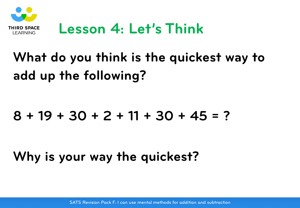

### **Lesson 4: Let's Think**

# **What do you think is the quickest way to add up the following?**

### **8 + 19 + 30 + 2 + 11 + 30 + 45 = ?**

**Why is your way the quickest?**

SATS Revision Pack F: I can use mental methods for addition and subtraction